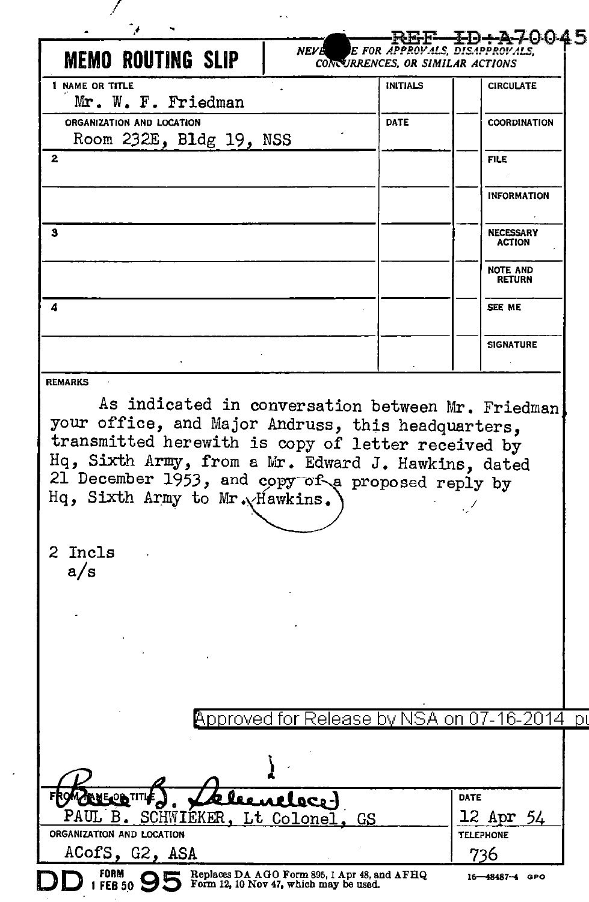| <i><b>NEVA</b></i><br><b>MEMO ROUTING SLIP</b>                                                                                                                                                   | rurr—<br>E FOR APPROVALS, DISAPPR<br>CONCURRENCES, OR SIMILAR ACTIONS | <del>ID:A7004</del> 5                      |
|--------------------------------------------------------------------------------------------------------------------------------------------------------------------------------------------------|-----------------------------------------------------------------------|--------------------------------------------|
| 1 NAME OR TITLE<br>Mr. W. F. Friedman                                                                                                                                                            | <b>INITIALS</b>                                                       | <b>CIRCULATE</b>                           |
| ORGANIZATION AND LOCATION<br>Room 232E, Bldg 19, NSS                                                                                                                                             | <b>DATE</b>                                                           | COORDINATION                               |
| 2                                                                                                                                                                                                |                                                                       | <b>FILE</b>                                |
|                                                                                                                                                                                                  |                                                                       | <b>INFORMATION</b>                         |
| з                                                                                                                                                                                                |                                                                       | <b>NECESSARY</b><br><b>ACTION</b>          |
|                                                                                                                                                                                                  |                                                                       | <b>NOTE AND</b><br><b>RETURN</b>           |
| 4                                                                                                                                                                                                |                                                                       | SEE ME                                     |
|                                                                                                                                                                                                  |                                                                       | <b>SIGNATURE</b>                           |
| <b>REMARKS</b><br>As indicated in conversation between Mr. Friedman                                                                                                                              |                                                                       |                                            |
| transmitted herewith is copy of letter received by<br>Hq, Sixth Army, from a Mr. Edward J. Hawkins, dated<br>21 December 1953, and copy of a proposed reply by<br>Hq, Sixth Army to Mr. Hawkins. |                                                                       |                                            |
| 2 Incls<br>a/s                                                                                                                                                                                   |                                                                       |                                            |
|                                                                                                                                                                                                  |                                                                       |                                            |
|                                                                                                                                                                                                  |                                                                       |                                            |
|                                                                                                                                                                                                  |                                                                       |                                            |
| <u> Approved for Release by NSA on 07-16-2014</u>                                                                                                                                                |                                                                       | рt                                         |
|                                                                                                                                                                                                  |                                                                       |                                            |
|                                                                                                                                                                                                  |                                                                       |                                            |
|                                                                                                                                                                                                  |                                                                       | DATE                                       |
| PAUL B.<br><b>SCHWIEKER</b><br>Lt<br>Colonel<br>ORGANIZATION AND LOCATION<br>ACofS, G2, ASA                                                                                                      | GS                                                                    | 12<br>Apr<br>りん<br><b>TELEPHONE</b><br>736 |

 $\mathcal{A}^{\pm}$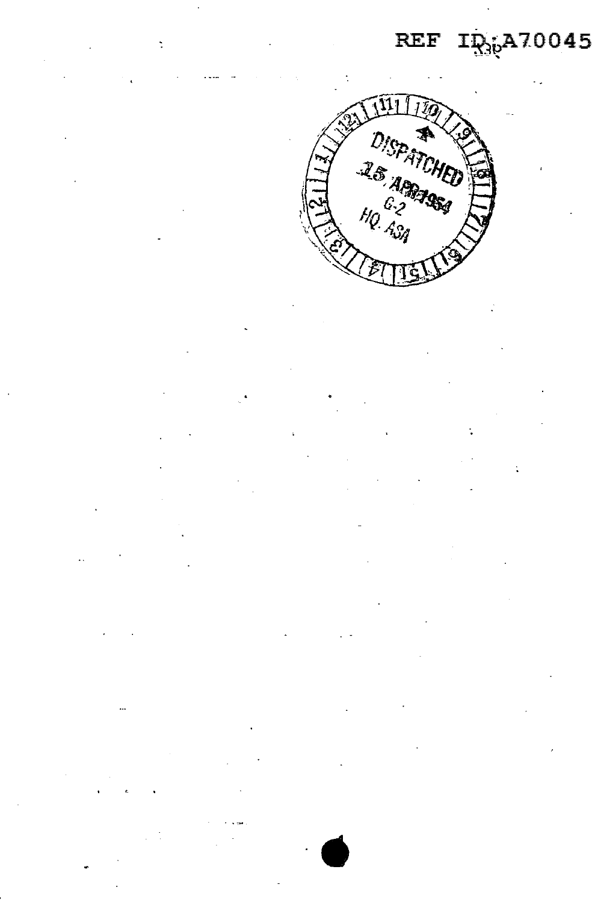#### 170045 **REF**  $\mathtt{IR}_{35}$

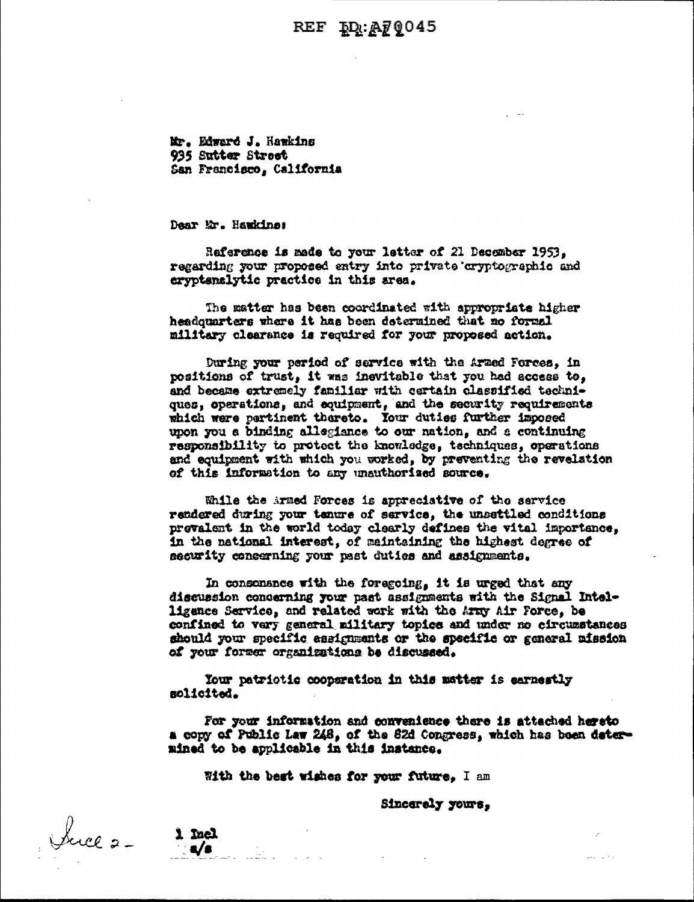# REF DR: AF 0045

Mr. Edward J. Hawkins 935 Sutter Street San Francisco. California

Dear Mr. Hawkins:

Raference is made to your letter of 21 December 1953. regarding your proposed entry into private cryptographic and ervotsmalytic practice in this area.

The matter has been coordinated with appropriate higher headquarters where it has been determined that no formal military clearance is required for your proposed action.

During your period of service with the Armed Forces, in positions of trust. it was inevitable that you had access to. and became extremely familiar with certain classified techniques, operations, and equipment, and the security requirements which were partinent thereto. Your duties further imposed upon you a binding allegiance to our nation, and a continuing responsibility to protect the knowledge, techniques, operations and equipment with which you worked, by preventing the revelation of this information to any unauthorized source.

While the hrmed Forces is appreciative of the service rendered during your tenure of service, the unsettled conditions provalent in the world today clearly defines the vital importance. in the national interest, of maintaining the highest degree of security concerning your past duties and assignments.

In consonance with the foregoing, it is urged that any discussion concerning your past assignments with the Signal Intelligance Service, and related work with the Army Air Force, be confined to very general military topics and under no circumstances should your specific assignments or the specific or general mission of your former organizations be discussed.

Your patrictic cooperation in this matter is earnestly solicited.

For your information and convenience there is attached hereto a copy of Public Law 248, of the 82d Congress, which has been determined to be applicable in this instance.

With the best wishes for your future, I am

Sincerely yours,

Juce 2-

1 Incl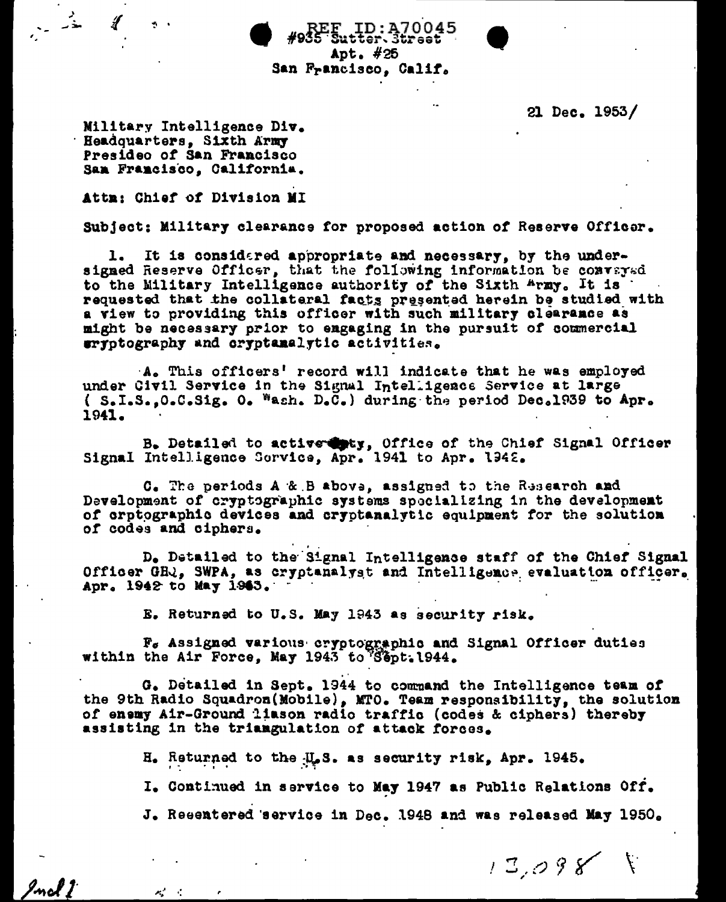21 Dec.  $1953/$ 

Military Intelligence Div. Beadquarters, Sixth Army Presideo of San Francisco San Francisco, California.

ر<br>حدّر

Incl 1

 $\mathcal{A}^{\mathcal{A}}_{\mathcal{A}}$  and  $\mathcal{A}^{\mathcal{A}}_{\mathcal{A}}$ 

 $\mathcal{J}$ 

 $\sigma$  .

Attm: Chief of Division MI

Subject: Military clearance for proposed action of Reserve Officer.

**EF ID:A70045**<br>5 Sutter Street

Apt.  $#25$ San Francisco, Calif.

It is considered appropriate and necessary, by the under-signed Reserve Officer, that the following information be conveyed to the Military Intelligence authority of the Sixth Army. It is requested that the collateral facts presented herein be studied with a view to providing this officer with such military clearance as might be necessary prior to engaging in the pursuit of commercial eryptography and cryptamalytic activities.

A. This officers' record will indicate that he was employed under Civil Service in the Signal Intelligence Service at large (S.I.S..O.C.Sig. O. Wash. D.C.) during the period Dec.1939 to Apr. 1941.

B. Detailed to active they, Office of the Chief Signal Officer Signal Intelligence Sorvice, Apr. 1941 to Apr. 1942.

C. The periods A & B above, assigned to the Research and Development of cryptographic systems specializing in the development of crptographic devices and cryptanalytic equipment for the solution of codes and ciphers.

D. Detailed to the Signal Intelligence staff of the Chief Signal Officer GHQ, SWPA, as cryptanalyst and Intelligence evaluation officer. Apr. 1942 to May 1963.

E. Returned to U.S. May 1943 as security risk.

F. Assigned various cryptographic and Signal Officer duties within the Air Force, May 1943 to Sept.1944.

G. Detailed in Sept. 1944 to command the Intelligence team of the 9th Radio Squadron(Mobile), MTO. Team responsibility, the solution of enemy Air-Ground liason radio traffic (codes & ciphers) thereby assisting in the triangulation of attack forces.

H. Returned to the U.S. as security risk, Apr. 1945.

I. Continued in service to May 1947 as Public Relations Off.

J. Reeentered service in Dec. 1948 and was released May 1950.

 $13.098$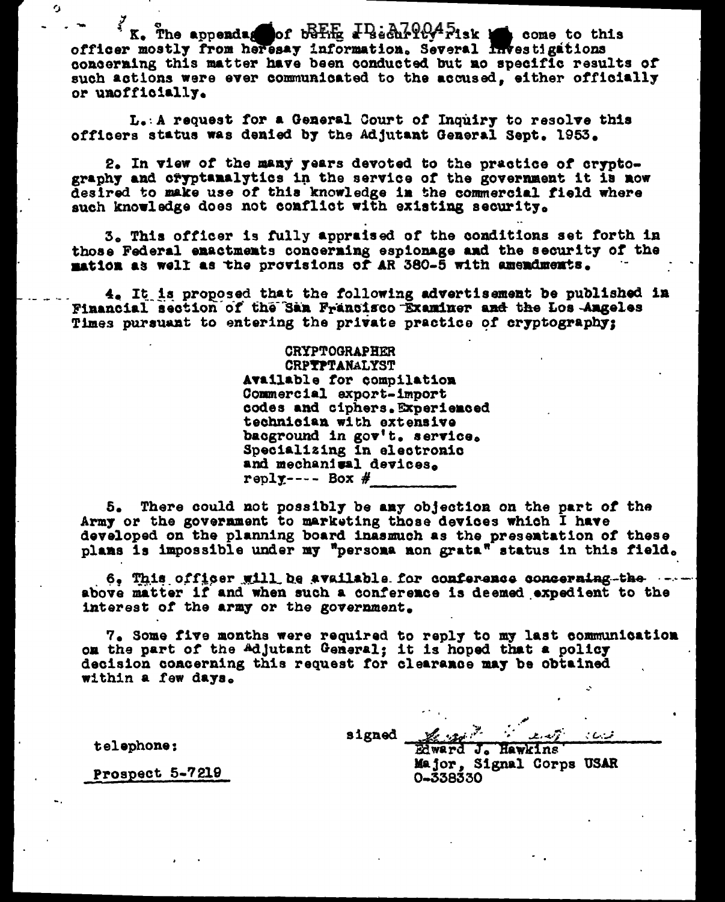$K_{\bullet}$  The appendage of being  $I\rightarrow$  edular  $\mathbb{R}$  is a come to this officer mostly from heresay information. Several investigations concerning this matter have been conducted but no specific results of such actions were ever communicated to the accused, either officially or unofficially.

L. A request for a General Court of Inquiry to resolve this officers status was denied by the Adjutant General Sept. 1953.

2. In view of the many years devoted to the practice of cryptography and cryptanalytics in the service of the government it is now desired to make use of this knowledge in the commercial field where such knowledge does not conflict with existing security.

3. This officer is fully appraised of the conditions set forth in those Federal enactments concerning espionage and the security of the mation as well as the provisions of AR 380-5 with amendments.

4. It is proposed that the following advertisement be published in Financial section of the San Francisco Examiner and the Los Angeles Times pursuant to entering the private practice of cryptography:

> **CRYPTOGRAPHER CRPTPTANALYST** Available for compilation Commercial export-import codes and ciphers. Experienced technician with extensive bacground in gov't. service. Specializing in electronic and mechanisal devices. reply---- Box  $#$

5. There could not possibly be any objection on the part of the Army or the government to marketing those devices which I have developed on the planning board inasmuch as the presentation of these plans is impossible under my "persona non grata" status in this field.

6. This officer will be available for conference concerning-the above matter if and when such a conference is deemed expedient to the interest of the army or the government.

7. Some five months were required to reply to my last communication on the part of the Adjutant General; it is hoped that a policy decision concerning this request for clearance may be obtained within a few days.

telephone:

Ò.

Prospect 5-7219

 $\mathbb{Z}$  :  $20$ signed الممدنات Edward J. Hawkins Major, Signal Corps USAR 0-338330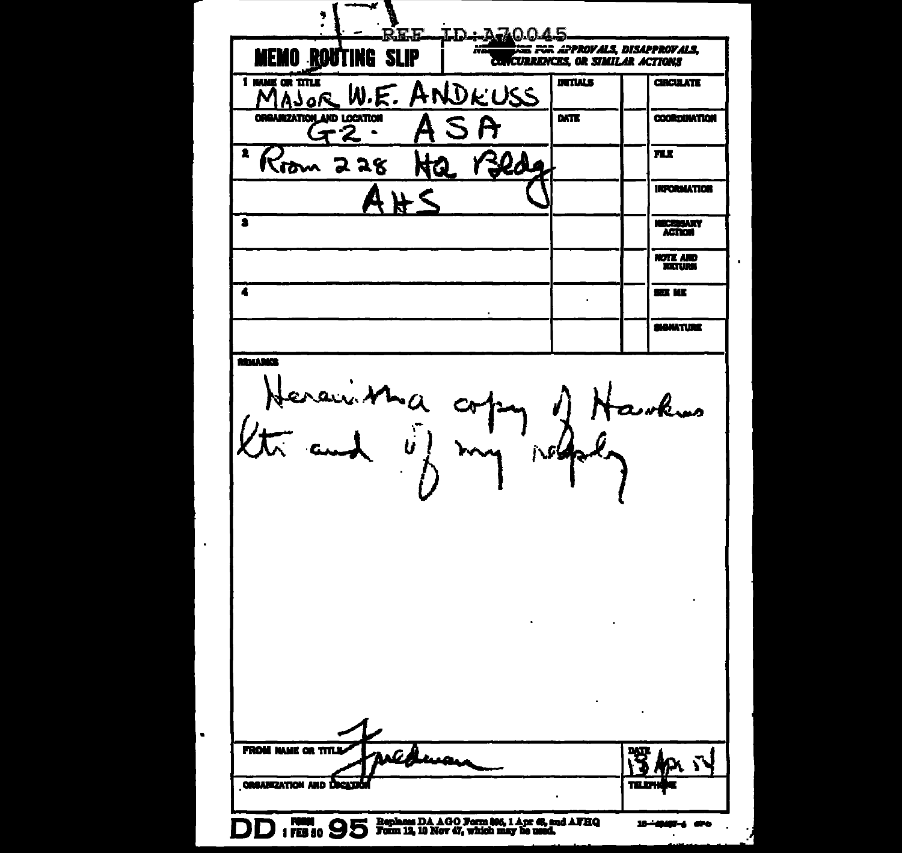REE ID: 170045 A. SE FOR APPROVALS. DISAPPROVALS. **MEMO ROUTING SLIP CURRENCES. OR SIMILAR ACTIONS** I NAME OR TITLE **DETIALS CIRCULATE** W.E. ANDKUSS MAJOR ORGANIZATION AND LOCATION DATE **COORDINATION** S A  $-2$  .  $\overline{\mathbf{r}}$ FLE. **Jed** Krom 228 NQ. **INFORMATION** €  $\overline{\bullet}$ **NECESSARY**<br>ACTION NOTE AND Ā SEE KE SIGNATURE REMARKS HerainMa<br>Utr and  $\stackrel{..}{\scriptstyle\smile}$ awkwo 1156  $\blacksquare$ FROM NAME OR TITLE £Á بجمعت κÑ **CREANIZATION AND DECATE** DD 178310 95 Feman DA AGO Form 806, 1 Apr 68, and AFHQ -**1915-1** arc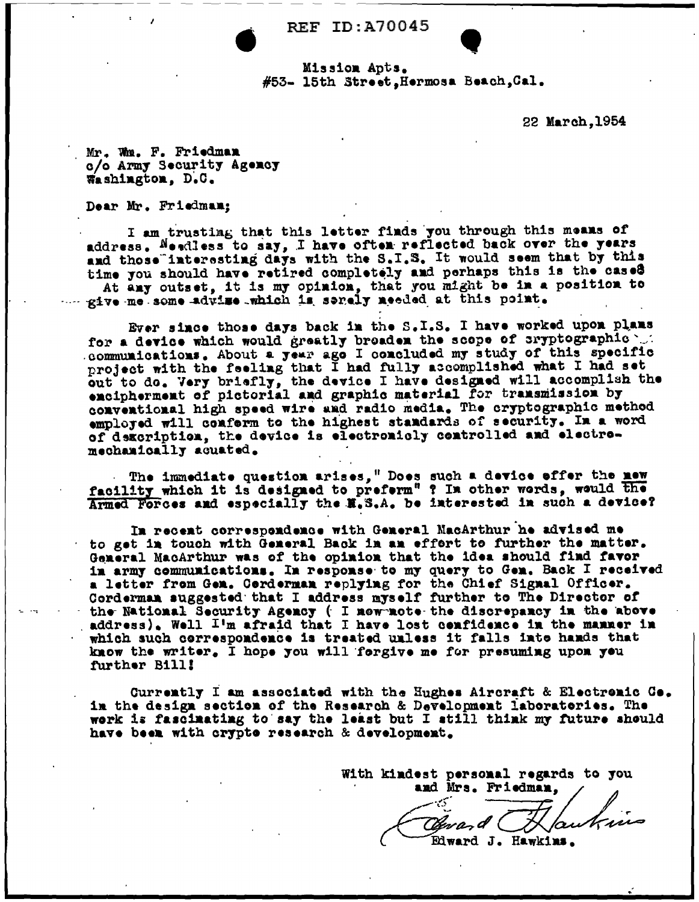**REF ID: A70045** 

Mission Apts. #53- 15th Street.Hermosa Beach.Cal.

22 March.1954

Mr. Wm. F. Friedman c/o Army Security Agency Washington, D.C.

Dear Mr. Friedman:

I am trusting that this letter finds you through this means of address. Needless to say, I have often reflected back over the years and those interesting days with the S.I.S. It would seem that by this time you should have retired completely and perhaps this is the cases

At any outset, it is my opinion, that you might be in a position to - give me some advise which is senely needed at this point.

Ever since those days back in the S.I.S. I have worked upon plans for a device which would greatly broaden the scope of pryptographic ... communications. About a year ago I concluded my study of this specific<br>project with the feeling that I had fully accomplished what I had set out to do. Very briefly, the device I have designed will accomplish the encipherment of pictorial and graphic material for transmission by conventional high speed wire and radio media. The cryptographic method employed will conform to the highest standards of security. In a word of dexcription, the device is electronicly controlled and electromechanically acuated.

The immediate question arises," Does such a device effer the new facility which it is designed to preferm"? In other words, would the Armed Forces and especially the N.S.A. be interested in such a device?

In recent correspondence with General MacArthur he advised me to get in touch with General Back in an effort to further the matter. General MacArthur was of the opinion that the idea should find favor in army communications. In response to my query to Gen. Back I received a letter from Gem. Cerderman replying for the Chief Signal Officer. Corderman suggested that I address myself further to The Director of the National Security Agency (I now note the discrepancy in the above address). Well I'm afraid that I have lost confidence in the manner in which such correspondence is treated unless it falls into hands that know the writer. I hope you will forgive me for presuming upon you further Bill!

Currently I am associated with the Hughes Aircraft & Electronic Co. in the design section of the Research & Development laboratories. The work is fascinating to say the least but I still think my future should have been with crypte research & development.

> With kindest personal regards to you and Mrs. Friedman,

was d Edward J. Hawkins.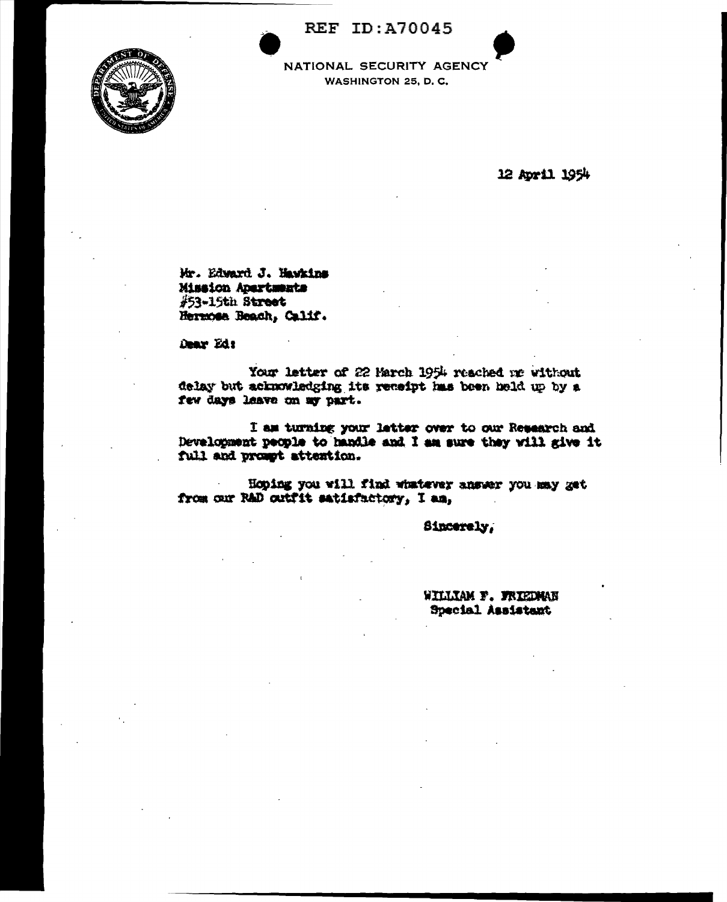**REF ID: A70045** 



NATIONAL SECURITY AGENCY **WASHINGTON 25, D. C.** 

12 April 1954

Mr. Edward J. Hawkins Mission Apertments #53-15th Street Hermosa Beach, Calif.

Dear Ed:

Your letter of 22 March 1954 reached ne without delay but acknowledging its receipt has been held up by a few days leave on my part.

I am turning your letter over to our Research and Development people to handle and I am sure they will give it full and prompt attention.

Hoping you will find whatever answer you may get from our RAD outfit satisfactory, I am,

Sincerely,

WILLIAM F. FRIEDMAN Special Assistant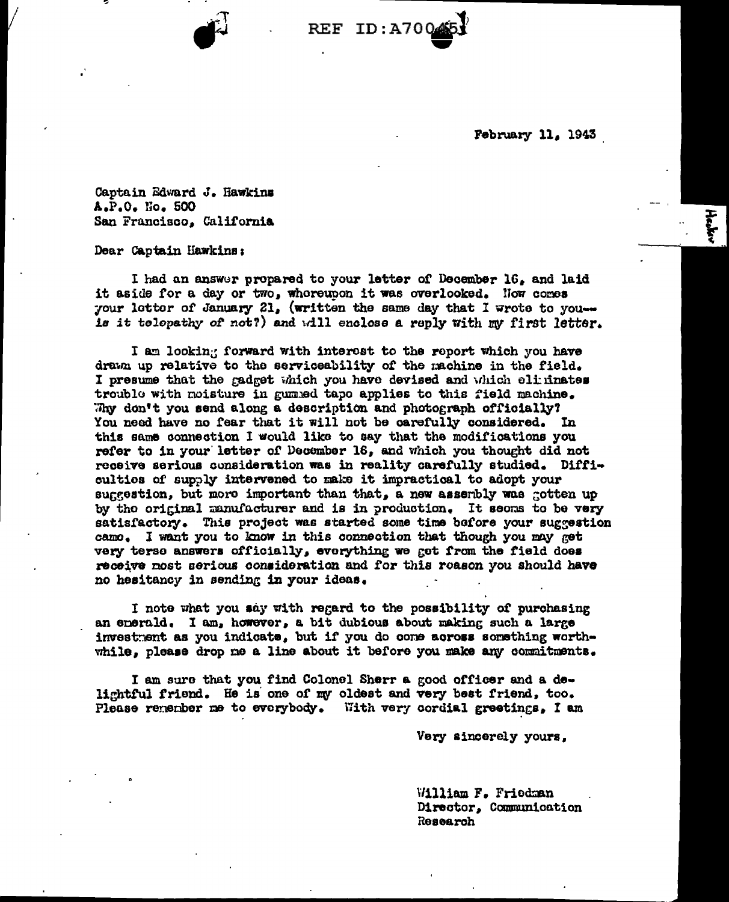



**February 11, 1943** 

Captain Edward J. Hawkins A.P.O. No. 500 San Francisco, California

Dear Captain Hawkins;

I had an answer propared to your letter of December 16, and laid it aside for a day or two, whoreupon it was overlooked. Now comes your letter of January 21, (written the same day that I wrote to you-is it telepathy of not?) and will enclose a reply with my first letter.

I am looking forward with interest to the report which you have drawn up relative to the serviceability of the machine in the field. I presume that the gadget which you have devised and which eliminates trouble with moisture in gummed tape applies to this field machine. Why don't you send along a description and photograph officially? You need have no fear that it will not be carefully considered. In this same connection I would like to say that the modifications you refer to in your letter of December 16, and which you thought did not receive serious consideration was in reality carefully studied. Difficulties of supply intervened to make it impractical to adopt your surgestion, but more important than that, a new assembly was gotten up by the original manufacturer and is in production. It seems to be very satisfactory. This project was started some time before your suggestion came. I want you to know in this connection that though you may get very terse answers officially, everything we got from the field does receive most serious consideration and for this roason you should have no hesitancy in sending in your ideas.

I note what you say with regard to the possibility of purchasing an enerald. I am, however, a bit dubious about making such a large investment as you indicate, but if you do come across something worthwhile, please drop me a line about it before you make any commitments.

I am sure that you find Colonel Sherr a good officer and a delightful friend. He is one of my oldest and very best friend, too. Please remember me to everybody. With very cordial greetings, I am

Very sincerely yours,

William F. Friedman Director, Communication Research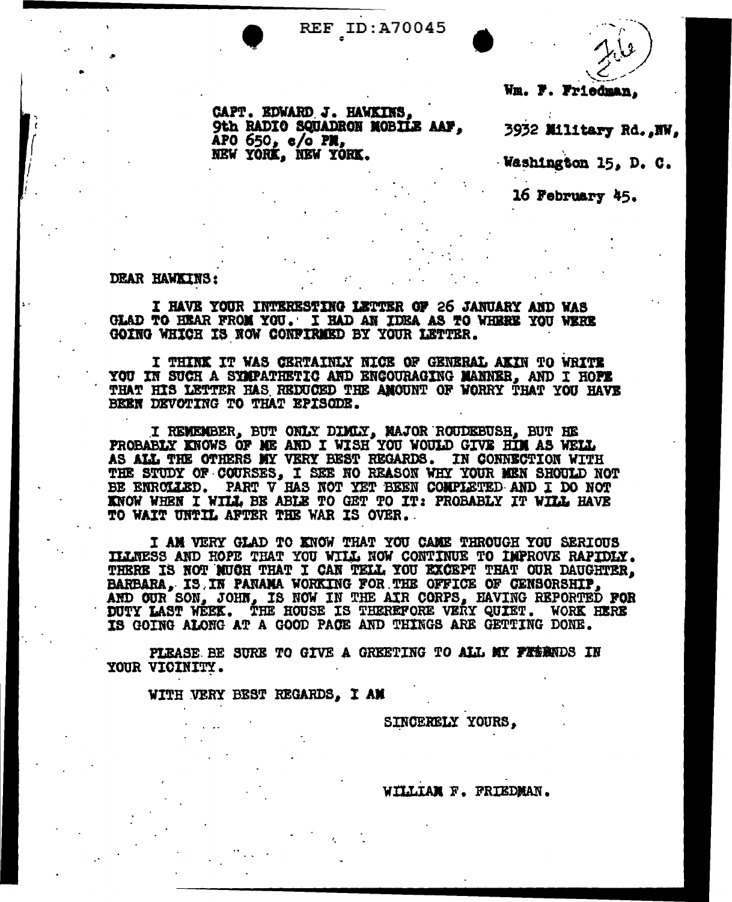**REF ID: A70045** 

Wm. F. Friedman,

CAPT. EDWARD J. HAWKINS. **9th RADIO SQUADRON MOBILE AAF.** APO 650, c/o PM, NEW YORK, NEW YORK.

3932 Military Rd., NW,

Washington 15, D. C.

16 February 45.

### DEAR HAWKINS:

I HAVE YOUR INTERESTING LETTER OF 26 JANUARY AND WAS GLAD TO HEAR FROM YOU. I HAD AN IDEA AS TO WHERE YOU WERE GOING WHICH IS NOW CONFIRMED BY YOUR LETTER.

I THINK IT WAS CERTAINLY NICE OF GENERAL AKIN TO WRITE YOU IN SUCH A SYMPATHETIC AND ENCOURAGING MANNER, AND I HOPE THAT HIS LETTER HAS REDUCED THE ANOUNT OF WORRY THAT YOU HAVE BEEN DEVOTING TO THAT EPISODE.

I REMEMBER, BUT ONLY DIMIX, MAJOR ROUDEBUSH, BUT HE<br>PROBABLY KNOWS OF ME AND I WISH YOU WOULD GIVE HIM AS WELL AS ALL THE OTHERS MY VERY BEST REGARDS. IN CONNECTION WITH THE STUDY OF COURSES, I SEE NO REASON WHY YOUR MEN SHOULD NOT BE ENROLLED. PART V HAS NOT YET BEEN COMPLETED AND I DO NOT KNOW WHEN I WILL BE ABLE TO GET TO IT: PROBABLY IT WILL HAVE TO WAIT UNTIL AFTER THE WAR IS OVER.

I AM VERY GLAD TO KNOW THAT YOU CAME THROUGH YOU SERIOUS ILLNESS AND HOPE THAT YOU WILL NOW CONTINUE TO IMPROVE RAPIDLY. THERE IS NOT NUCH THAT I CAN TELL YOU EXCEPT THAT OUR DAUGHTER. BARBARA, IS IN PANAMA WORKING FOR THE OFFICE OF CENSORSHIP, AND OUR SON, JOHN, IS NOW IN THE AIR CORPS, HAVING REPORTED FOR DUTY LAST WEEK. THE HOUSE IS THEREFORE VERY QUIET. WORK HERE IS GOING ALONG AT A GOOD PACE AND THINGS ARE GETTING DONE.

PLEASE BE SURE TO GIVE A GREETING TO ALL MY FESSIOS IN YOUR VICINITY.

WITH VERY BEST REGARDS. I AM

SINCERELY YOURS.

WILLIAM F. FRIEDMAN.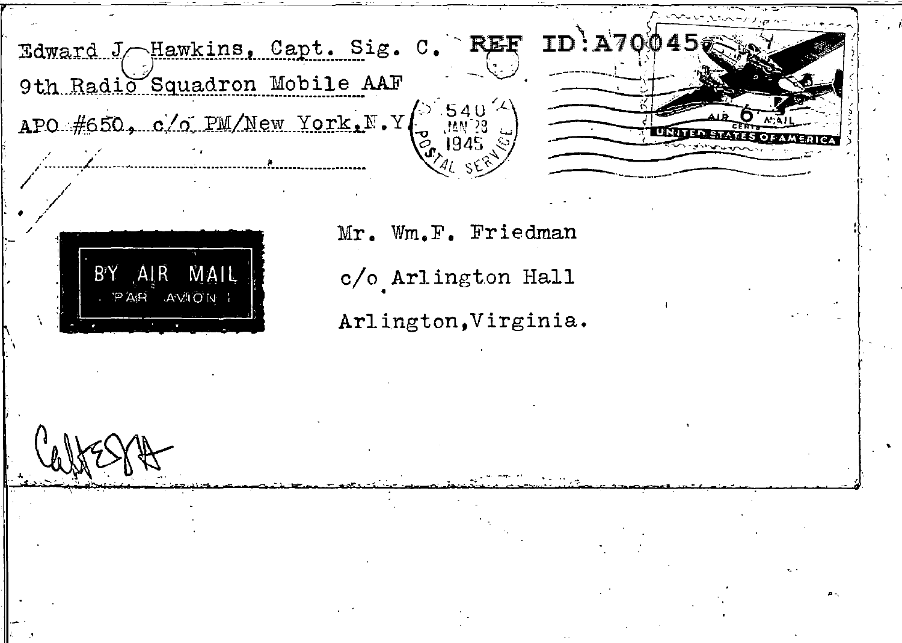TD Edward J Hawkins, Capt. Sig.  $\mathbf C$  . 9th Radio Squadron Mobile AAF APO #650, c/o PM/New York, N.Y  $\sum_{n=1}^{\infty}$ Mr. Wm.F. Friedman BΥ c/o Arlington Hall MAIL **AVION** Arlington, Virginia.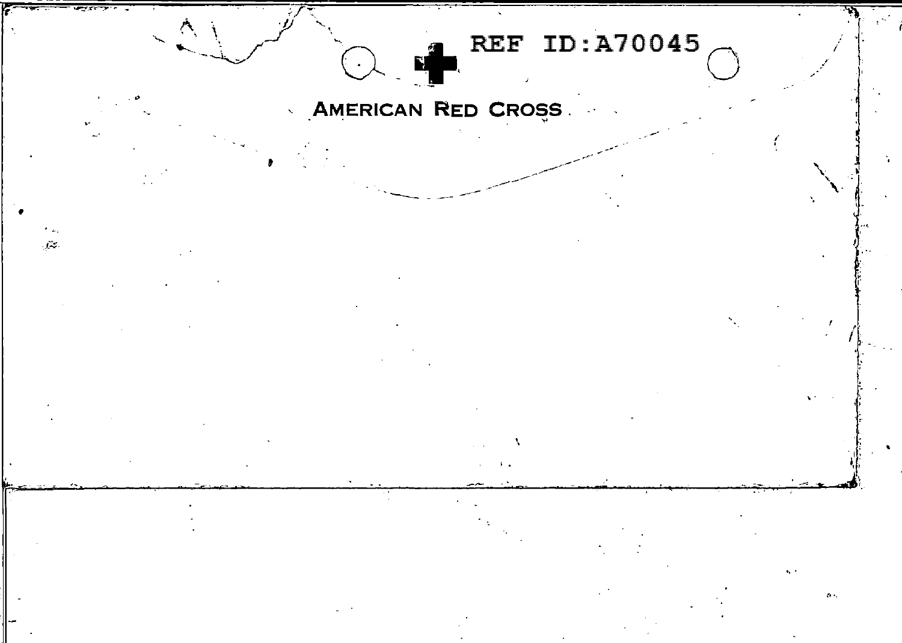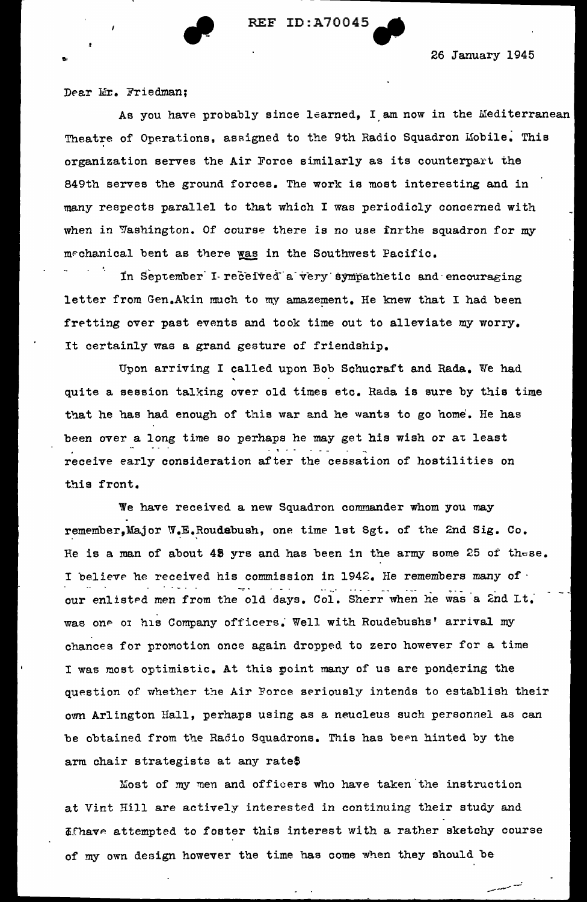-----

Dear Mr. Friedman:

3

As you have probably since learned, I am now in the Mediterranean Theatre of Operations, assigned to the 9th Radio Squadron Mobile. This organization serves the Air Force similarly as its counterpart the 849th serves the ground forces. The work is most interesting and in many respects parallel to that which I was periodicly concerned with when in  $\mathbb N$ ashington. Of course there is no use finithe squadron for my mechanical bent as there was in the Southwest Pacific.<br>- In September I-received a very sympathetic and encouraging

letter from Gen.Akin much to my amazement. He knew that I had been fretting over past events and took time out to alleviate my worry. It certainly was a grand gesture of friendship.

Upon arriving I called upon Bob Schucraft and Rada. We had quite a session talking over old times etc. Rada is sure by this time that he has had enough of this war and he wants to go home. He has been over a long time so perhaps he may get his wish or at least receive early consideration after the cessation of hostilities on this front.

We have received a new Squadron commander whom you may remember, Major W.E. Roudsbush, one time lst Sgt. of the 2nd Sig. Co. He is a man of about  $48$  yrs and has been in the army some 25 of these. I believe he received his commission in 1942. He remembers many of<br>our enlisted men from the old days. Col. Sherr when he was a 2nd Lt. was one or his Company officers. Well with Roudebushs' arrival my chances for promotion once again dropped to zero however for a time I was most optimistic. At this point many of us are pondering the question of whether the Air Force seriously intends to establish their own Arlington Hall, perhaps using as a neucleus such personnel as can be obtained from the Radio Squadrons. This has been hinted by the arm chair strategists at any rate\$

Most of my men and officers who have taken the instruction at Vint Hill are actively interested in continuing their study and If have attempted to foster this interest with a rather sketchy course of my own design however the time has come when they should be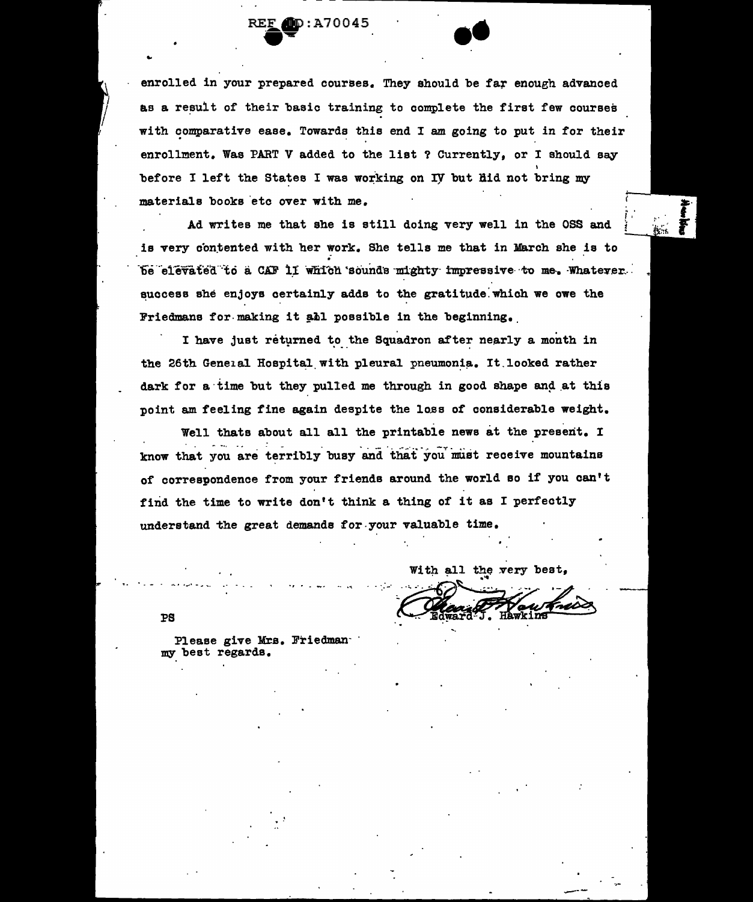

enrolled in your prepared courses. They should be far enough advanced as a result of their basic training to complete the first few courses with comparative ease. Towards this end I am going to put in for their enrollment. Was PART V added to the list ? Currently, or I should say before I left the States I was working on IV but fild not bring my materials books etc over with me.

Ad writes me that she is still doing very well in the OSS and is very contented with her work. She tells me that in March she is to be elevated to a CAF II which sounds mighty impressive to me. Whatever. success she enjoys certainly adds to the gratitude which we owe the Friedmans for making it all possible in the beginning.

I have just returned to the Squadron after nearly a month in the 26th General Hospital with pleural pneumonia. It looked rather dark for a time but they pulled me through in good shape and at this point am feeling fine again despite the loss of considerable weight.

Well thats about all all the printable news at the present. I know that you are terribly busy and that you must receive mountains of correspondence from your friends around the world so if you can't find the time to write don't think a thing of it as I perfectly understand the great demands for your valuable time.

With all the very best,

PS

Please give Mrs. Friedman my best regards.